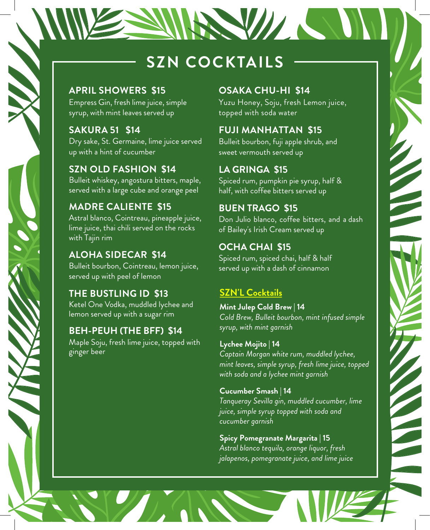# **SZN COCKTAILS**

#### **APRIL SHOWERS \$15**

Empress Gin, fresh lime juice, simple syrup, with mint leaves served up

**SAKURA 51 \$14** Dry sake, St. Germaine, lime juice served up with a hint of cucumber

**SZN OLD FASHION \$14**  Bulleit whiskey, angostura bitters, maple, served with a large cube and orange peel

**MADRE CALIENTE \$15**  Astral blanco, Cointreau, pineapple juice, lime juice, thai chili served on the rocks with Tajin rim

**ALOHA SIDECAR \$14** Bulleit bourbon, Cointreau, lemon juice, served up with peel of lemon

**THE BUSTLING ID \$13** Ketel One Vodka, muddled lychee and lemon served up with a sugar rim

#### **BEH-PEUH (THE BFF) \$14**

Maple Soju, fresh lime juice, topped with ginger beer

#### **OSAKA CHU-HI \$14**

NAVILLE PARA

Yuzu Honey, Soju, fresh Lemon juice, topped with soda water

#### **FUJI MANHATTAN \$15**

Bulleit bourbon, fuji apple shrub, and sweet vermouth served up

#### **LA GRINGA \$15**

Spiced rum, pumpkin pie syrup, half & half, with coffee bitters served up

#### **BUEN TRAGO \$15**

Don Julio blanco, coffee bitters, and a dash of Bailey's Irish Cream served up

### **OCHA CHAI \$15**

Spiced rum, spiced chai, half & half served up with a dash of cinnamon

## **SZN'L Cocktails**

**Mint Julep Cold Brew | 14** *Cold Brew, Bulleit bourbon, mint infused simple syrup, with mint garnish*

#### **Lychee Mojito | 14**

*Captain Morgan white rum, muddled lychee, mint leaves, simple syrup, fresh lime juice, topped with soda and a lychee mint garnish*

#### **Cucumber Smash | 14**

*Tanqueray Sevilla gin, muddled cucumber, lime juice, simple syrup topped with soda and cucumber garnish*

#### **Spicy Pomegranate Margarita | 15**

*Astral blanco tequila, orange liquor, fresh jalapenos, pomegranate juice, and lime juice*